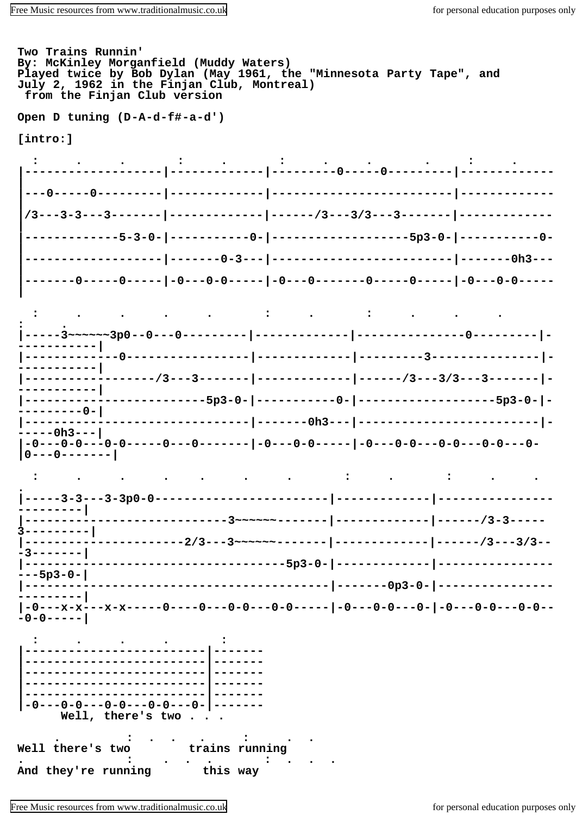Two Trains Runnin' By: McKinley Morganfield (Muddy Waters) Played twice by Bob Dylan (May 1961, the "Minnesota Party Tape", and July 2, 1962 in the Finjan Club, Montreal) from the Finjan Club version

Open D tuning (D-A-d-f#-a-d')

[intro:]







Well there's two trains running  $\cdot$ And they're running this way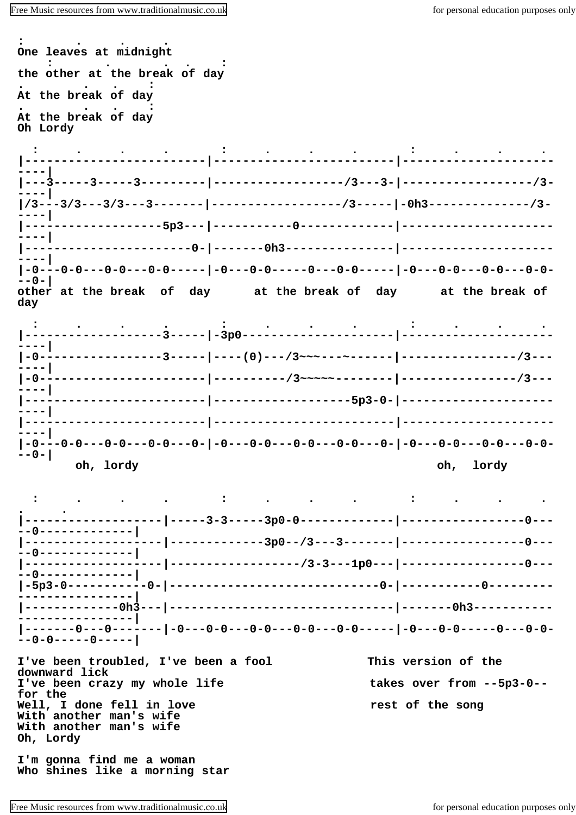